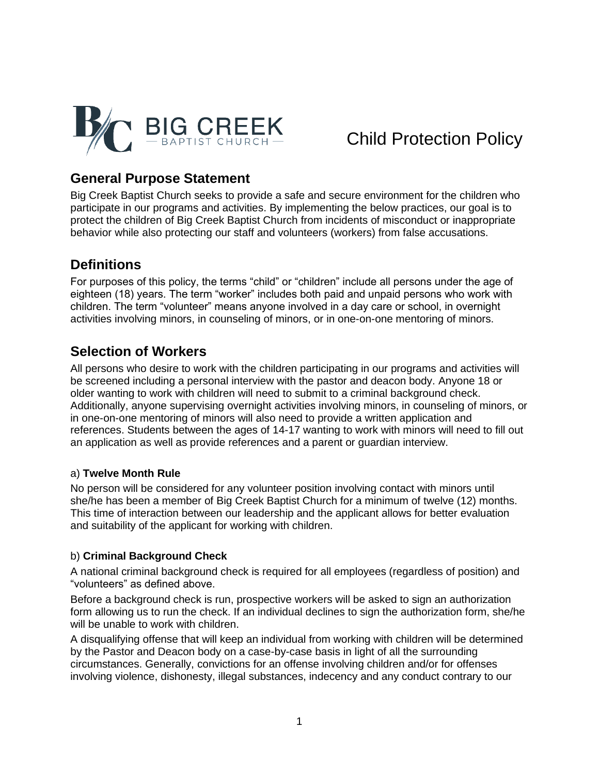

## **General Purpose Statement**

Big Creek Baptist Church seeks to provide a safe and secure environment for the children who participate in our programs and activities. By implementing the below practices, our goal is to protect the children of Big Creek Baptist Church from incidents of misconduct or inappropriate behavior while also protecting our staff and volunteers (workers) from false accusations.

## **Definitions**

For purposes of this policy, the terms "child" or "children" include all persons under the age of eighteen (18) years. The term "worker" includes both paid and unpaid persons who work with children. The term "volunteer" means anyone involved in a day care or school, in overnight activities involving minors, in counseling of minors, or in one-on-one mentoring of minors.

## **Selection of Workers**

All persons who desire to work with the children participating in our programs and activities will be screened including a personal interview with the pastor and deacon body. Anyone 18 or older wanting to work with children will need to submit to a criminal background check. Additionally, anyone supervising overnight activities involving minors, in counseling of minors, or in one-on-one mentoring of minors will also need to provide a written application and references. Students between the ages of 14-17 wanting to work with minors will need to fill out an application as well as provide references and a parent or guardian interview.

#### a) **Twelve Month Rule**

No person will be considered for any volunteer position involving contact with minors until she/he has been a member of Big Creek Baptist Church for a minimum of twelve (12) months. This time of interaction between our leadership and the applicant allows for better evaluation and suitability of the applicant for working with children.

#### b) **Criminal Background Check**

A national criminal background check is required for all employees (regardless of position) and "volunteers" as defined above.

Before a background check is run, prospective workers will be asked to sign an authorization form allowing us to run the check. If an individual declines to sign the authorization form, she/he will be unable to work with children.

A disqualifying offense that will keep an individual from working with children will be determined by the Pastor and Deacon body on a case-by-case basis in light of all the surrounding circumstances. Generally, convictions for an offense involving children and/or for offenses involving violence, dishonesty, illegal substances, indecency and any conduct contrary to our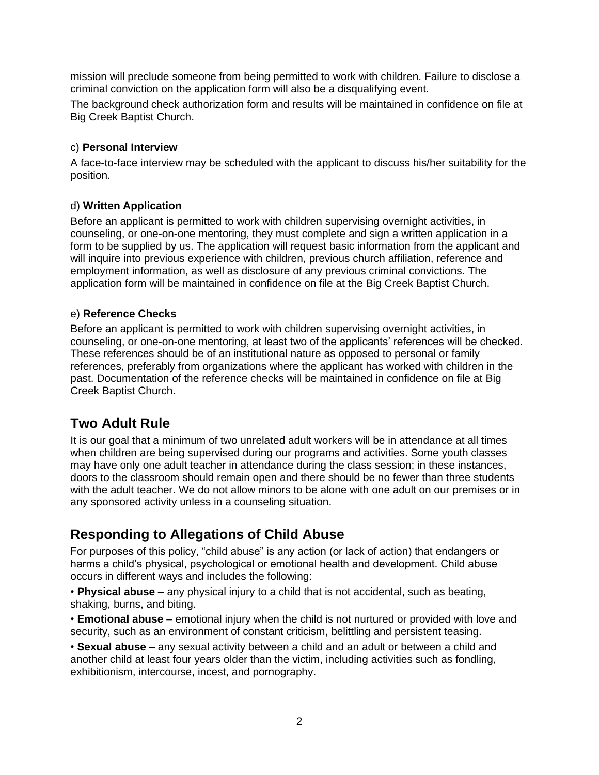mission will preclude someone from being permitted to work with children. Failure to disclose a criminal conviction on the application form will also be a disqualifying event.

The background check authorization form and results will be maintained in confidence on file at Big Creek Baptist Church.

#### c) **Personal Interview**

A face-to-face interview may be scheduled with the applicant to discuss his/her suitability for the position.

#### d) **Written Application**

Before an applicant is permitted to work with children supervising overnight activities, in counseling, or one-on-one mentoring, they must complete and sign a written application in a form to be supplied by us. The application will request basic information from the applicant and will inquire into previous experience with children, previous church affiliation, reference and employment information, as well as disclosure of any previous criminal convictions. The application form will be maintained in confidence on file at the Big Creek Baptist Church.

#### e) **Reference Checks**

Before an applicant is permitted to work with children supervising overnight activities, in counseling, or one-on-one mentoring, at least two of the applicants' references will be checked. These references should be of an institutional nature as opposed to personal or family references, preferably from organizations where the applicant has worked with children in the past. Documentation of the reference checks will be maintained in confidence on file at Big Creek Baptist Church.

## **Two Adult Rule**

It is our goal that a minimum of two unrelated adult workers will be in attendance at all times when children are being supervised during our programs and activities. Some youth classes may have only one adult teacher in attendance during the class session; in these instances, doors to the classroom should remain open and there should be no fewer than three students with the adult teacher. We do not allow minors to be alone with one adult on our premises or in any sponsored activity unless in a counseling situation.

## **Responding to Allegations of Child Abuse**

For purposes of this policy, "child abuse" is any action (or lack of action) that endangers or harms a child's physical, psychological or emotional health and development. Child abuse occurs in different ways and includes the following:

• **Physical abuse** – any physical injury to a child that is not accidental, such as beating, shaking, burns, and biting.

• **Emotional abuse** – emotional injury when the child is not nurtured or provided with love and security, such as an environment of constant criticism, belittling and persistent teasing.

• **Sexual abuse** – any sexual activity between a child and an adult or between a child and another child at least four years older than the victim, including activities such as fondling, exhibitionism, intercourse, incest, and pornography.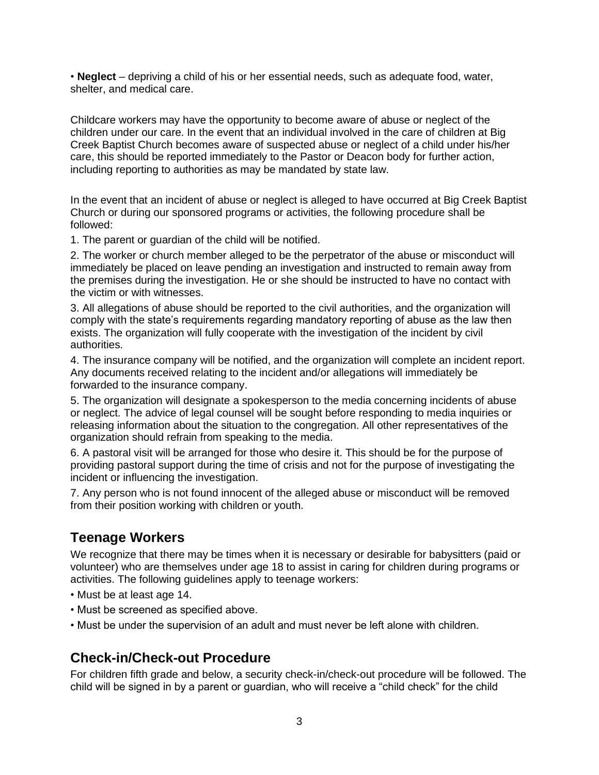• **Neglect** – depriving a child of his or her essential needs, such as adequate food, water, shelter, and medical care.

Childcare workers may have the opportunity to become aware of abuse or neglect of the children under our care. In the event that an individual involved in the care of children at Big Creek Baptist Church becomes aware of suspected abuse or neglect of a child under his/her care, this should be reported immediately to the Pastor or Deacon body for further action, including reporting to authorities as may be mandated by state law.

In the event that an incident of abuse or neglect is alleged to have occurred at Big Creek Baptist Church or during our sponsored programs or activities, the following procedure shall be followed:

1. The parent or guardian of the child will be notified.

2. The worker or church member alleged to be the perpetrator of the abuse or misconduct will immediately be placed on leave pending an investigation and instructed to remain away from the premises during the investigation. He or she should be instructed to have no contact with the victim or with witnesses.

3. All allegations of abuse should be reported to the civil authorities, and the organization will comply with the state's requirements regarding mandatory reporting of abuse as the law then exists. The organization will fully cooperate with the investigation of the incident by civil authorities.

4. The insurance company will be notified, and the organization will complete an incident report. Any documents received relating to the incident and/or allegations will immediately be forwarded to the insurance company.

5. The organization will designate a spokesperson to the media concerning incidents of abuse or neglect. The advice of legal counsel will be sought before responding to media inquiries or releasing information about the situation to the congregation. All other representatives of the organization should refrain from speaking to the media.

6. A pastoral visit will be arranged for those who desire it. This should be for the purpose of providing pastoral support during the time of crisis and not for the purpose of investigating the incident or influencing the investigation.

7. Any person who is not found innocent of the alleged abuse or misconduct will be removed from their position working with children or youth.

## **Teenage Workers**

We recognize that there may be times when it is necessary or desirable for babysitters (paid or volunteer) who are themselves under age 18 to assist in caring for children during programs or activities. The following guidelines apply to teenage workers:

- Must be at least age 14.
- Must be screened as specified above.
- Must be under the supervision of an adult and must never be left alone with children.

## **Check-in/Check-out Procedure**

For children fifth grade and below, a security check-in/check-out procedure will be followed. The child will be signed in by a parent or guardian, who will receive a "child check" for the child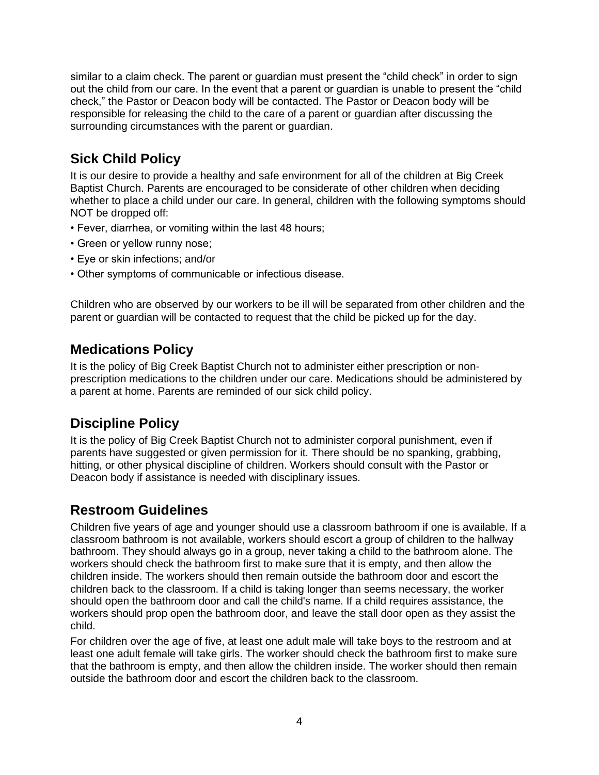similar to a claim check. The parent or guardian must present the "child check" in order to sign out the child from our care. In the event that a parent or guardian is unable to present the "child check," the Pastor or Deacon body will be contacted. The Pastor or Deacon body will be responsible for releasing the child to the care of a parent or guardian after discussing the surrounding circumstances with the parent or guardian.

# **Sick Child Policy**

It is our desire to provide a healthy and safe environment for all of the children at Big Creek Baptist Church. Parents are encouraged to be considerate of other children when deciding whether to place a child under our care. In general, children with the following symptoms should NOT be dropped off:

- Fever, diarrhea, or vomiting within the last 48 hours;
- Green or yellow runny nose;
- Eye or skin infections; and/or
- Other symptoms of communicable or infectious disease.

Children who are observed by our workers to be ill will be separated from other children and the parent or guardian will be contacted to request that the child be picked up for the day.

## **Medications Policy**

It is the policy of Big Creek Baptist Church not to administer either prescription or nonprescription medications to the children under our care. Medications should be administered by a parent at home. Parents are reminded of our sick child policy.

# **Discipline Policy**

It is the policy of Big Creek Baptist Church not to administer corporal punishment, even if parents have suggested or given permission for it. There should be no spanking, grabbing, hitting, or other physical discipline of children. Workers should consult with the Pastor or Deacon body if assistance is needed with disciplinary issues.

# **Restroom Guidelines**

Children five years of age and younger should use a classroom bathroom if one is available. If a classroom bathroom is not available, workers should escort a group of children to the hallway bathroom. They should always go in a group, never taking a child to the bathroom alone. The workers should check the bathroom first to make sure that it is empty, and then allow the children inside. The workers should then remain outside the bathroom door and escort the children back to the classroom. If a child is taking longer than seems necessary, the worker should open the bathroom door and call the child's name. If a child requires assistance, the workers should prop open the bathroom door, and leave the stall door open as they assist the child.

For children over the age of five, at least one adult male will take boys to the restroom and at least one adult female will take girls. The worker should check the bathroom first to make sure that the bathroom is empty, and then allow the children inside. The worker should then remain outside the bathroom door and escort the children back to the classroom.